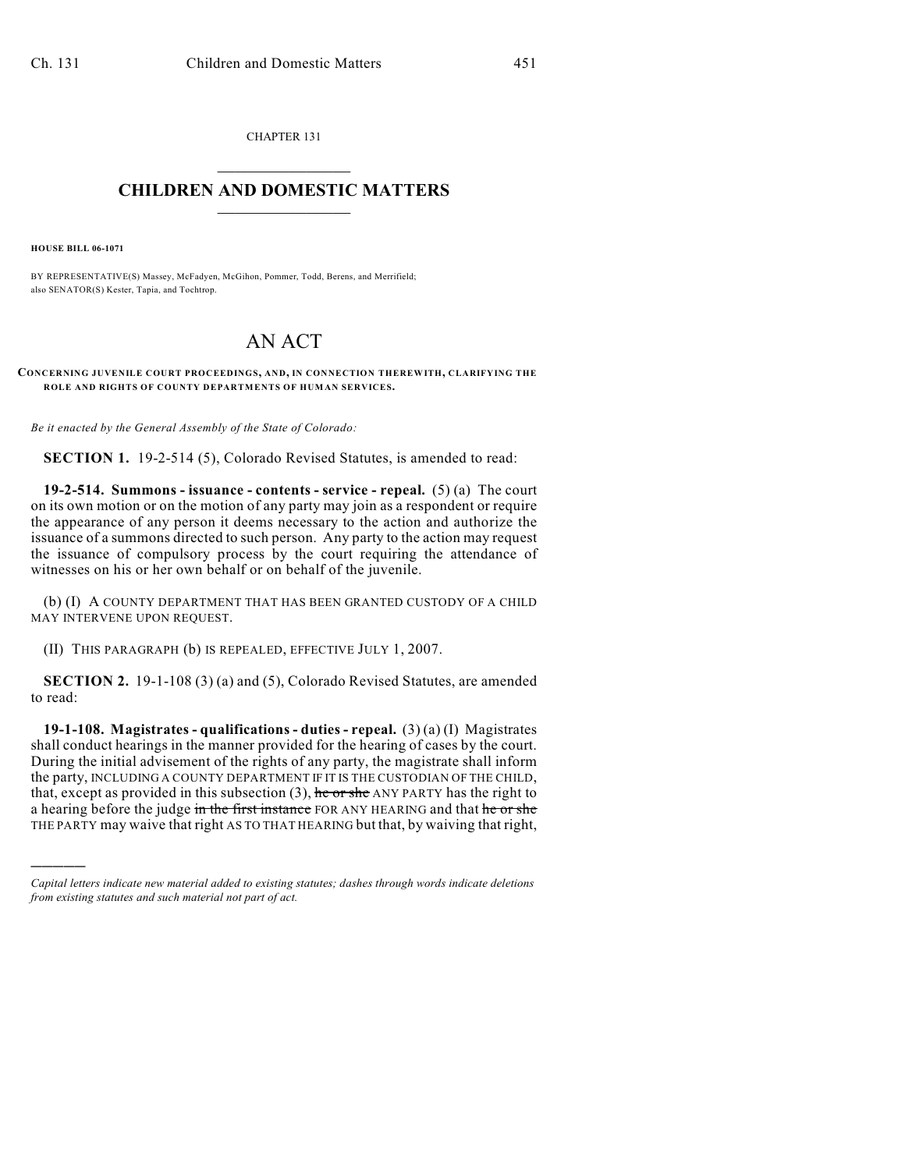CHAPTER 131  $\mathcal{L}_\text{max}$  . The set of the set of the set of the set of the set of the set of the set of the set of the set of the set of the set of the set of the set of the set of the set of the set of the set of the set of the set

## **CHILDREN AND DOMESTIC MATTERS**  $\_$

**HOUSE BILL 06-1071**

)))))

BY REPRESENTATIVE(S) Massey, McFadyen, McGihon, Pommer, Todd, Berens, and Merrifield; also SENATOR(S) Kester, Tapia, and Tochtrop.

## AN ACT

**CONCERNING JUVENILE COURT PROCEEDINGS, AND, IN CONNECTION THEREWITH, CLARIFYING THE ROLE AND RIGHTS OF COUNTY DEPARTMENTS OF HUMAN SERVICES.**

*Be it enacted by the General Assembly of the State of Colorado:*

**SECTION 1.** 19-2-514 (5), Colorado Revised Statutes, is amended to read:

**19-2-514. Summons - issuance - contents - service - repeal.** (5) (a) The court on its own motion or on the motion of any party may join as a respondent or require the appearance of any person it deems necessary to the action and authorize the issuance of a summons directed to such person. Any party to the action may request the issuance of compulsory process by the court requiring the attendance of witnesses on his or her own behalf or on behalf of the juvenile.

(b) (I) A COUNTY DEPARTMENT THAT HAS BEEN GRANTED CUSTODY OF A CHILD MAY INTERVENE UPON REQUEST.

(II) THIS PARAGRAPH (b) IS REPEALED, EFFECTIVE JULY 1, 2007.

**SECTION 2.** 19-1-108 (3) (a) and (5), Colorado Revised Statutes, are amended to read:

**19-1-108. Magistrates - qualifications - duties - repeal.** (3) (a) (I) Magistrates shall conduct hearings in the manner provided for the hearing of cases by the court. During the initial advisement of the rights of any party, the magistrate shall inform the party, INCLUDING A COUNTY DEPARTMENT IF IT IS THE CUSTODIAN OF THE CHILD, that, except as provided in this subsection  $(3)$ , he or she ANY PARTY has the right to a hearing before the judge in the first instance FOR ANY HEARING and that he or she THE PARTY may waive that right AS TO THAT HEARING but that, by waiving that right,

*Capital letters indicate new material added to existing statutes; dashes through words indicate deletions from existing statutes and such material not part of act.*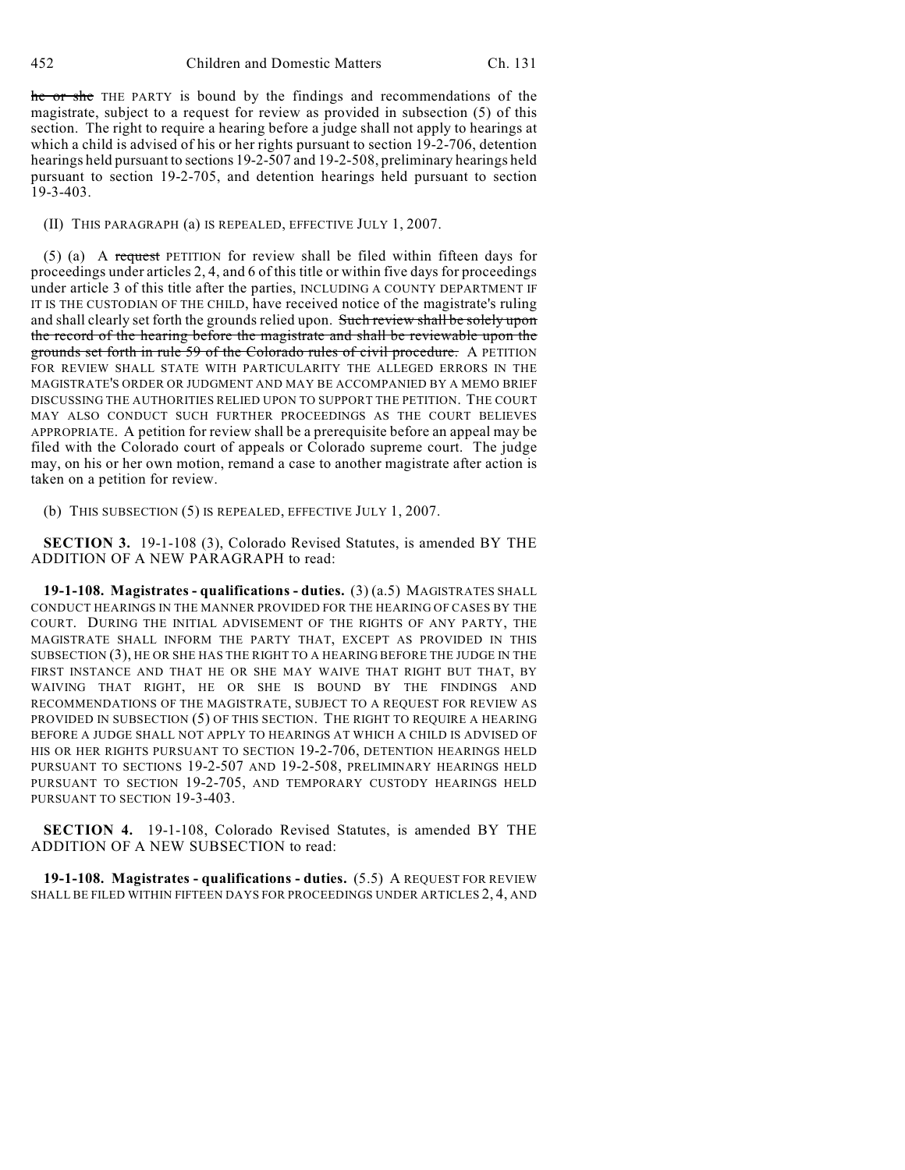he or she THE PARTY is bound by the findings and recommendations of the magistrate, subject to a request for review as provided in subsection (5) of this section. The right to require a hearing before a judge shall not apply to hearings at which a child is advised of his or her rights pursuant to section 19-2-706, detention hearings held pursuant to sections 19-2-507 and 19-2-508, preliminary hearings held pursuant to section 19-2-705, and detention hearings held pursuant to section 19-3-403.

(II) THIS PARAGRAPH (a) IS REPEALED, EFFECTIVE JULY 1, 2007.

(5) (a) A request PETITION for review shall be filed within fifteen days for proceedings under articles 2, 4, and 6 of this title or within five days for proceedings under article 3 of this title after the parties, INCLUDING A COUNTY DEPARTMENT IF IT IS THE CUSTODIAN OF THE CHILD, have received notice of the magistrate's ruling and shall clearly set forth the grounds relied upon. Such review shall be solely upon the record of the hearing before the magistrate and shall be reviewable upon the grounds set forth in rule 59 of the Colorado rules of civil procedure. A PETITION FOR REVIEW SHALL STATE WITH PARTICULARITY THE ALLEGED ERRORS IN THE MAGISTRATE'S ORDER OR JUDGMENT AND MAY BE ACCOMPANIED BY A MEMO BRIEF DISCUSSING THE AUTHORITIES RELIED UPON TO SUPPORT THE PETITION. THE COURT MAY ALSO CONDUCT SUCH FURTHER PROCEEDINGS AS THE COURT BELIEVES APPROPRIATE. A petition for review shall be a prerequisite before an appeal may be filed with the Colorado court of appeals or Colorado supreme court. The judge may, on his or her own motion, remand a case to another magistrate after action is taken on a petition for review.

(b) THIS SUBSECTION (5) IS REPEALED, EFFECTIVE JULY 1, 2007.

**SECTION 3.** 19-1-108 (3), Colorado Revised Statutes, is amended BY THE ADDITION OF A NEW PARAGRAPH to read:

**19-1-108. Magistrates - qualifications - duties.** (3) (a.5) MAGISTRATES SHALL CONDUCT HEARINGS IN THE MANNER PROVIDED FOR THE HEARING OF CASES BY THE COURT. DURING THE INITIAL ADVISEMENT OF THE RIGHTS OF ANY PARTY, THE MAGISTRATE SHALL INFORM THE PARTY THAT, EXCEPT AS PROVIDED IN THIS SUBSECTION (3), HE OR SHE HAS THE RIGHT TO A HEARING BEFORE THE JUDGE IN THE FIRST INSTANCE AND THAT HE OR SHE MAY WAIVE THAT RIGHT BUT THAT, BY WAIVING THAT RIGHT, HE OR SHE IS BOUND BY THE FINDINGS AND RECOMMENDATIONS OF THE MAGISTRATE, SUBJECT TO A REQUEST FOR REVIEW AS PROVIDED IN SUBSECTION (5) OF THIS SECTION. THE RIGHT TO REQUIRE A HEARING BEFORE A JUDGE SHALL NOT APPLY TO HEARINGS AT WHICH A CHILD IS ADVISED OF HIS OR HER RIGHTS PURSUANT TO SECTION 19-2-706, DETENTION HEARINGS HELD PURSUANT TO SECTIONS 19-2-507 AND 19-2-508, PRELIMINARY HEARINGS HELD PURSUANT TO SECTION 19-2-705, AND TEMPORARY CUSTODY HEARINGS HELD PURSUANT TO SECTION 19-3-403.

**SECTION 4.** 19-1-108, Colorado Revised Statutes, is amended BY THE ADDITION OF A NEW SUBSECTION to read:

**19-1-108. Magistrates - qualifications - duties.** (5.5) A REQUEST FOR REVIEW SHALL BE FILED WITHIN FIFTEEN DAYS FOR PROCEEDINGS UNDER ARTICLES 2, 4, AND